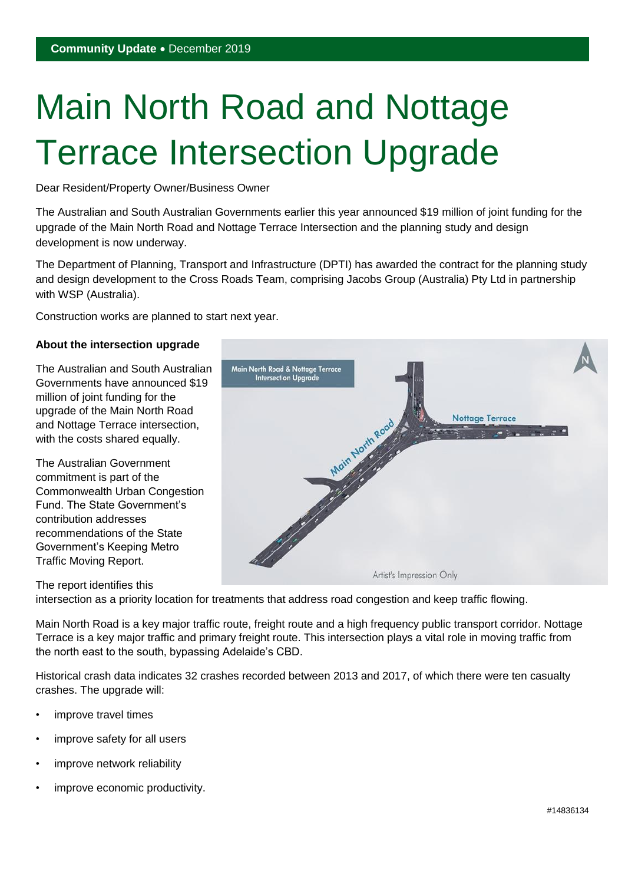# Main North Road and Nottage Terrace Intersection Upgrade

Dear Resident/Property Owner/Business Owner

The Australian and South Australian Governments earlier this year announced \$19 million of joint funding for the upgrade of the Main North Road and Nottage Terrace Intersection and the planning study and design development is now underway.

The Department of Planning, Transport and Infrastructure (DPTI) has awarded the contract for the planning study and design development to the Cross Roads Team, comprising Jacobs Group (Australia) Pty Ltd in partnership with WSP (Australia).

Construction works are planned to start next year.

#### **About the intersection upgrade**

The Australian and South Australian Governments have announced \$19 million of joint funding for the upgrade of the Main North Road and Nottage Terrace intersection, with the costs shared equally.

The Australian Government commitment is part of the Commonwealth Urban Congestion Fund. The State Government's contribution addresses recommendations of the State Government's Keeping Metro Traffic Moving Report.

## The report identifies this



intersection as a priority location for treatments that address road congestion and keep traffic flowing.

Main North Road is a key major traffic route, freight route and a high frequency public transport corridor. Nottage Terrace is a key major traffic and primary freight route. This intersection plays a vital role in moving traffic from the north east to the south, bypassing Adelaide's CBD.

Historical crash data indicates 32 crashes recorded between 2013 and 2017, of which there were ten casualty crashes. The upgrade will:

- improve travel times
- improve safety for all users
- improve network reliability
- improve economic productivity.